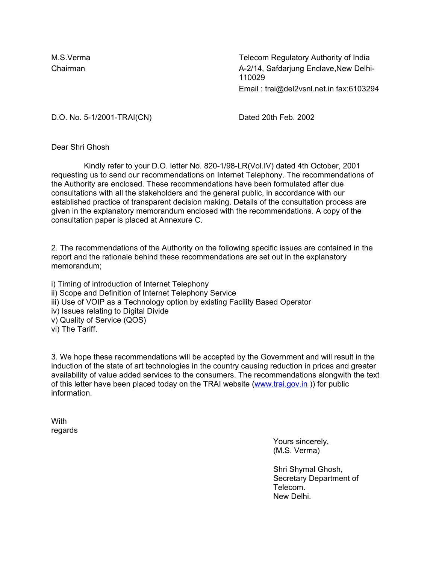M.S.Verma Telecom Regulatory Authority of India Chairman A-2/14, Safdarjung Enclave,New Delhi-110029 Email : trai@del2vsnl.net.in fax:6103294

D.O. No. 5-1/2001-TRAI(CN) Dated 20th Feb. 2002

Dear Shri Ghosh

 Kindly refer to your D.O. letter No. 820-1/98-LR(Vol.IV) dated 4th October, 2001 requesting us to send our recommendations on Internet Telephony. The recommendations of the Authority are enclosed. These recommendations have been formulated after due consultations with all the stakeholders and the general public, in accordance with our established practice of transparent decision making. Details of the consultation process are given in the explanatory memorandum enclosed with the recommendations. A copy of the consultation paper is placed at Annexure C.

2. The recommendations of the Authority on the following specific issues are contained in the report and the rationale behind these recommendations are set out in the explanatory memorandum;

i) Timing of introduction of Internet Telephony ii) Scope and Definition of Internet Telephony Service iii) Use of VOIP as a Technology option by existing Facility Based Operator iv) Issues relating to Digital Divide v) Quality of Service (QOS) vi) The Tariff.

3. We hope these recommendations will be accepted by the Government and will result in the induction of the state of art technologies in the country causing reduction in prices and greater availability of value added services to the consumers. The recommendations alongwith the text of this letter have been placed today on the TRAI website (www.trai.gov.in )) for public information.

With regards

> Yours sincerely, (M.S. Verma)

Shri Shymal Ghosh, Secretary Department of Telecom. New Delhi.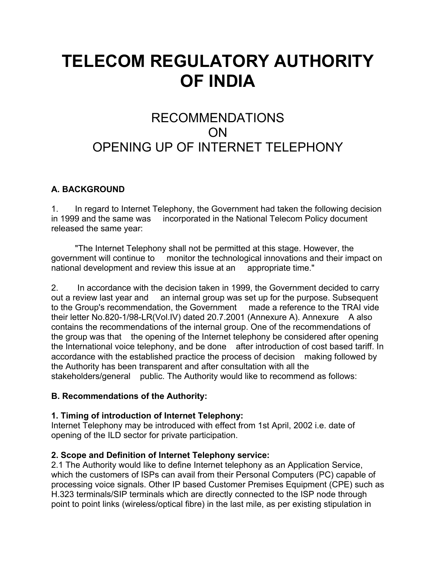# **TELECOM REGULATORY AUTHORITY OF INDIA**

# RECOMMENDATIONS ON OPENING UP OF INTERNET TELEPHONY

# **A. BACKGROUND**

1. In regard to Internet Telephony, the Government had taken the following decision in 1999 and the same was incorporated in the National Telecom Policy document released the same year:

 "The Internet Telephony shall not be permitted at this stage. However, the government will continue to monitor the technological innovations and their impact on national development and review this issue at an appropriate time."

2. In accordance with the decision taken in 1999, the Government decided to carry out a review last year and an internal group was set up for the purpose. Subsequent to the Group's recommendation, the Government made a reference to the TRAI vide their letter No.820-1/98-LR(Vol.IV) dated 20.7.2001 (Annexure A). Annexure A also contains the recommendations of the internal group. One of the recommendations of the group was that the opening of the Internet telephony be considered after opening the International voice telephony, and be done after introduction of cost based tariff. In accordance with the established practice the process of decision making followed by the Authority has been transparent and after consultation with all the stakeholders/general public. The Authority would like to recommend as follows:

#### **B. Recommendations of the Authority:**

#### **1. Timing of introduction of Internet Telephony:**

Internet Telephony may be introduced with effect from 1st April, 2002 i.e. date of opening of the ILD sector for private participation.

#### **2. Scope and Definition of Internet Telephony service:**

2.1 The Authority would like to define Internet telephony as an Application Service, which the customers of ISPs can avail from their Personal Computers (PC) capable of processing voice signals. Other IP based Customer Premises Equipment (CPE) such as H.323 terminals/SIP terminals which are directly connected to the ISP node through point to point links (wireless/optical fibre) in the last mile, as per existing stipulation in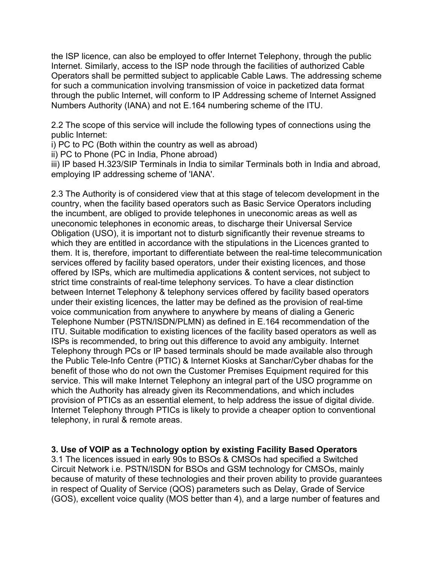the ISP licence, can also be employed to offer Internet Telephony, through the public Internet. Similarly, access to the ISP node through the facilities of authorized Cable Operators shall be permitted subject to applicable Cable Laws. The addressing scheme for such a communication involving transmission of voice in packetized data format through the public Internet, will conform to IP Addressing scheme of Internet Assigned Numbers Authority (IANA) and not E.164 numbering scheme of the ITU.

2.2 The scope of this service will include the following types of connections using the public Internet:

i) PC to PC (Both within the country as well as abroad)

ii) PC to Phone (PC in India, Phone abroad)

iii) IP based H.323/SIP Terminals in India to similar Terminals both in India and abroad, employing IP addressing scheme of 'IANA'.

2.3 The Authority is of considered view that at this stage of telecom development in the country, when the facility based operators such as Basic Service Operators including the incumbent, are obliged to provide telephones in uneconomic areas as well as uneconomic telephones in economic areas, to discharge their Universal Service Obligation (USO), it is important not to disturb significantly their revenue streams to which they are entitled in accordance with the stipulations in the Licences granted to them. It is, therefore, important to differentiate between the real-time telecommunication services offered by facility based operators, under their existing licences, and those offered by ISPs, which are multimedia applications & content services, not subject to strict time constraints of real-time telephony services. To have a clear distinction between Internet Telephony & telephony services offered by facility based operators under their existing licences, the latter may be defined as the provision of real-time voice communication from anywhere to anywhere by means of dialing a Generic Telephone Number (PSTN/ISDN/PLMN) as defined in E.164 recommendation of the ITU. Suitable modification to existing licences of the facility based operators as well as ISPs is recommended, to bring out this difference to avoid any ambiguity. Internet Telephony through PCs or IP based terminals should be made available also through the Public Tele-Info Centre (PTIC) & Internet Kiosks at Sanchar/Cyber dhabas for the benefit of those who do not own the Customer Premises Equipment required for this service. This will make Internet Telephony an integral part of the USO programme on which the Authority has already given its Recommendations, and which includes provision of PTICs as an essential element, to help address the issue of digital divide. Internet Telephony through PTICs is likely to provide a cheaper option to conventional telephony, in rural & remote areas.

#### **3. Use of VOIP as a Technology option by existing Facility Based Operators**

3.1 The licences issued in early 90s to BSOs & CMSOs had specified a Switched Circuit Network i.e. PSTN/ISDN for BSOs and GSM technology for CMSOs, mainly because of maturity of these technologies and their proven ability to provide guarantees in respect of Quality of Service (QOS) parameters such as Delay, Grade of Service (GOS), excellent voice quality (MOS better than 4), and a large number of features and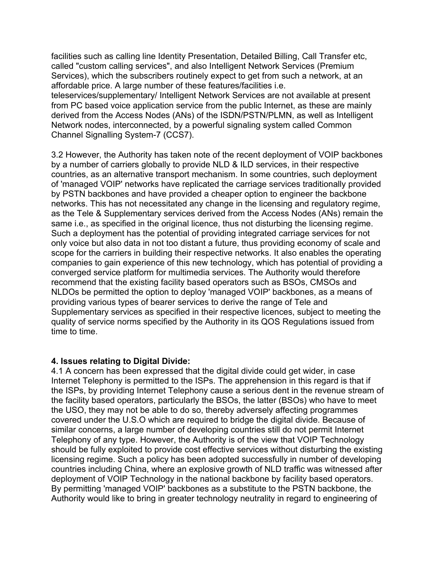facilities such as calling line Identity Presentation, Detailed Billing, Call Transfer etc, called "custom calling services", and also Intelligent Network Services (Premium Services), which the subscribers routinely expect to get from such a network, at an affordable price. A large number of these features/facilities i.e.

teleservices/supplementary/ Intelligent Network Services are not available at present from PC based voice application service from the public Internet, as these are mainly derived from the Access Nodes (ANs) of the ISDN/PSTN/PLMN, as well as Intelligent Network nodes, interconnected, by a powerful signaling system called Common Channel Signalling System-7 (CCS7).

3.2 However, the Authority has taken note of the recent deployment of VOIP backbones by a number of carriers globally to provide NLD & ILD services, in their respective countries, as an alternative transport mechanism. In some countries, such deployment of 'managed VOIP' networks have replicated the carriage services traditionally provided by PSTN backbones and have provided a cheaper option to engineer the backbone networks. This has not necessitated any change in the licensing and regulatory regime, as the Tele & Supplementary services derived from the Access Nodes (ANs) remain the same i.e., as specified in the original licence, thus not disturbing the licensing regime. Such a deployment has the potential of providing integrated carriage services for not only voice but also data in not too distant a future, thus providing economy of scale and scope for the carriers in building their respective networks. It also enables the operating companies to gain experience of this new technology, which has potential of providing a converged service platform for multimedia services. The Authority would therefore recommend that the existing facility based operators such as BSOs, CMSOs and NLDOs be permitted the option to deploy 'managed VOIP' backbones, as a means of providing various types of bearer services to derive the range of Tele and Supplementary services as specified in their respective licences, subject to meeting the quality of service norms specified by the Authority in its QOS Regulations issued from time to time.

#### **4. Issues relating to Digital Divide:**

4.1 A concern has been expressed that the digital divide could get wider, in case Internet Telephony is permitted to the ISPs. The apprehension in this regard is that if the ISPs, by providing Internet Telephony cause a serious dent in the revenue stream of the facility based operators, particularly the BSOs, the latter (BSOs) who have to meet the USO, they may not be able to do so, thereby adversely affecting programmes covered under the U.S.O which are required to bridge the digital divide. Because of similar concerns, a large number of developing countries still do not permit Internet Telephony of any type. However, the Authority is of the view that VOIP Technology should be fully exploited to provide cost effective services without disturbing the existing licensing regime. Such a policy has been adopted successfully in number of developing countries including China, where an explosive growth of NLD traffic was witnessed after deployment of VOIP Technology in the national backbone by facility based operators. By permitting 'managed VOIP' backbones as a substitute to the PSTN backbone, the Authority would like to bring in greater technology neutrality in regard to engineering of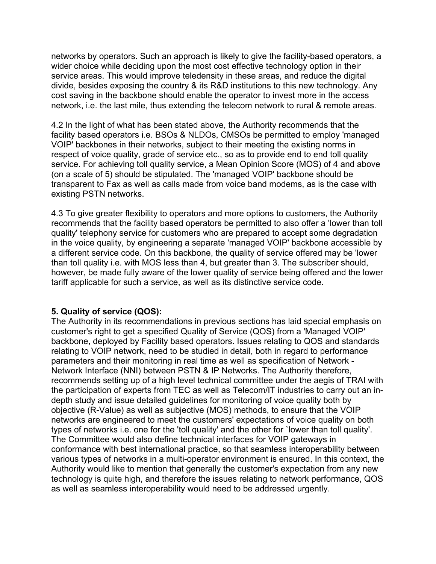networks by operators. Such an approach is likely to give the facility-based operators, a wider choice while deciding upon the most cost effective technology option in their service areas. This would improve teledensity in these areas, and reduce the digital divide, besides exposing the country & its R&D institutions to this new technology. Any cost saving in the backbone should enable the operator to invest more in the access network, i.e. the last mile, thus extending the telecom network to rural & remote areas.

4.2 In the light of what has been stated above, the Authority recommends that the facility based operators i.e. BSOs & NLDOs, CMSOs be permitted to employ 'managed VOIP' backbones in their networks, subject to their meeting the existing norms in respect of voice quality, grade of service etc., so as to provide end to end toll quality service. For achieving toll quality service, a Mean Opinion Score (MOS) of 4 and above (on a scale of 5) should be stipulated. The 'managed VOIP' backbone should be transparent to Fax as well as calls made from voice band modems, as is the case with existing PSTN networks.

4.3 To give greater flexibility to operators and more options to customers, the Authority recommends that the facility based operators be permitted to also offer a 'lower than toll quality' telephony service for customers who are prepared to accept some degradation in the voice quality, by engineering a separate 'managed VOIP' backbone accessible by a different service code. On this backbone, the quality of service offered may be 'lower than toll quality i.e. with MOS less than 4, but greater than 3. The subscriber should, however, be made fully aware of the lower quality of service being offered and the lower tariff applicable for such a service, as well as its distinctive service code.

#### **5. Quality of service (QOS):**

The Authority in its recommendations in previous sections has laid special emphasis on customer's right to get a specified Quality of Service (QOS) from a 'Managed VOIP' backbone, deployed by Facility based operators. Issues relating to QOS and standards relating to VOIP network, need to be studied in detail, both in regard to performance parameters and their monitoring in real time as well as specification of Network - Network Interface (NNI) between PSTN & IP Networks. The Authority therefore, recommends setting up of a high level technical committee under the aegis of TRAI with the participation of experts from TEC as well as Telecom/IT industries to carry out an indepth study and issue detailed guidelines for monitoring of voice quality both by objective (R-Value) as well as subjective (MOS) methods, to ensure that the VOIP networks are engineered to meet the customers' expectations of voice quality on both types of networks i.e. one for the 'toll quality' and the other for `lower than toll quality'. The Committee would also define technical interfaces for VOIP gateways in conformance with best international practice, so that seamless interoperability between various types of networks in a multi-operator environment is ensured. In this context, the Authority would like to mention that generally the customer's expectation from any new technology is quite high, and therefore the issues relating to network performance, QOS as well as seamless interoperability would need to be addressed urgently.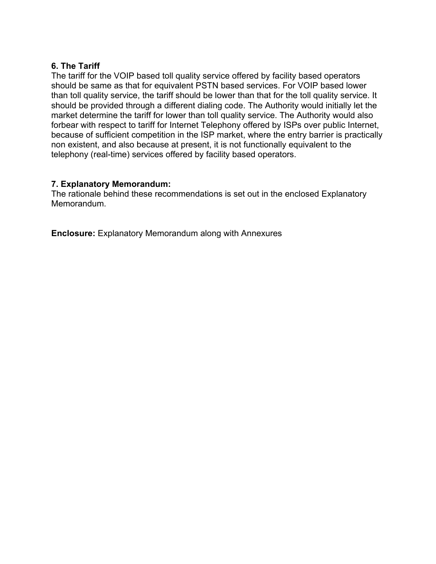#### **6. The Tariff**

The tariff for the VOIP based toll quality service offered by facility based operators should be same as that for equivalent PSTN based services. For VOIP based lower than toll quality service, the tariff should be lower than that for the toll quality service. It should be provided through a different dialing code. The Authority would initially let the market determine the tariff for lower than toll quality service. The Authority would also forbear with respect to tariff for Internet Telephony offered by ISPs over public Internet, because of sufficient competition in the ISP market, where the entry barrier is practically non existent, and also because at present, it is not functionally equivalent to the telephony (real-time) services offered by facility based operators.

#### **7. Explanatory Memorandum:**

The rationale behind these recommendations is set out in the enclosed Explanatory Memorandum.

**Enclosure:** Explanatory Memorandum along with Annexures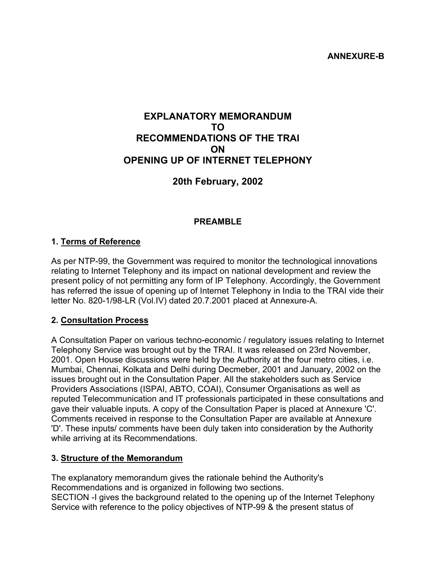# **EXPLANATORY MEMORANDUM TO RECOMMENDATIONS OF THE TRAI ON OPENING UP OF INTERNET TELEPHONY**

# **20th February, 2002**

#### **PREAMBLE**

#### **1. Terms of Reference**

As per NTP-99, the Government was required to monitor the technological innovations relating to Internet Telephony and its impact on national development and review the present policy of not permitting any form of IP Telephony. Accordingly, the Government has referred the issue of opening up of Internet Telephony in India to the TRAI vide their letter No. 820-1/98-LR (Vol.IV) dated 20.7.2001 placed at Annexure-A.

#### **2. Consultation Process**

A Consultation Paper on various techno-economic / regulatory issues relating to Internet Telephony Service was brought out by the TRAI. It was released on 23rd November, 2001. Open House discussions were held by the Authority at the four metro cities, i.e. Mumbai, Chennai, Kolkata and Delhi during Decmeber, 2001 and January, 2002 on the issues brought out in the Consultation Paper. All the stakeholders such as Service Providers Associations (ISPAI, ABTO, COAI), Consumer Organisations as well as reputed Telecommunication and IT professionals participated in these consultations and gave their valuable inputs. A copy of the Consultation Paper is placed at Annexure 'C'. Comments received in response to the Consultation Paper are available at Annexure 'D'. These inputs/ comments have been duly taken into consideration by the Authority while arriving at its Recommendations.

#### **3. Structure of the Memorandum**

The explanatory memorandum gives the rationale behind the Authority's Recommendations and is organized in following two sections. SECTION -I gives the background related to the opening up of the Internet Telephony Service with reference to the policy objectives of NTP-99 & the present status of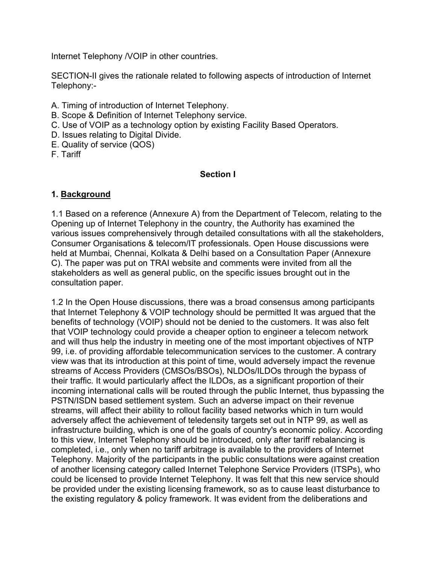Internet Telephony /VOIP in other countries.

SECTION-II gives the rationale related to following aspects of introduction of Internet Telephony:-

- A. Timing of introduction of Internet Telephony.
- B. Scope & Definition of Internet Telephony service.
- C. Use of VOIP as a technology option by existing Facility Based Operators.
- D. Issues relating to Digital Divide.
- E. Quality of service (QOS)
- F. Tariff

#### **Section I**

# **1. Background**

1.1 Based on a reference (Annexure A) from the Department of Telecom, relating to the Opening up of Internet Telephony in the country, the Authority has examined the various issues comprehensively through detailed consultations with all the stakeholders, Consumer Organisations & telecom/IT professionals. Open House discussions were held at Mumbai, Chennai, Kolkata & Delhi based on a Consultation Paper (Annexure C). The paper was put on TRAI website and comments were invited from all the stakeholders as well as general public, on the specific issues brought out in the consultation paper.

1.2 In the Open House discussions, there was a broad consensus among participants that Internet Telephony & VOIP technology should be permitted It was argued that the benefits of technology (VOIP) should not be denied to the customers. It was also felt that VOIP technology could provide a cheaper option to engineer a telecom network and will thus help the industry in meeting one of the most important objectives of NTP 99, i.e. of providing affordable telecommunication services to the customer. A contrary view was that its introduction at this point of time, would adversely impact the revenue streams of Access Providers (CMSOs/BSOs), NLDOs/ILDOs through the bypass of their traffic. It would particularly affect the ILDOs, as a significant proportion of their incoming international calls will be routed through the public Internet, thus bypassing the PSTN/ISDN based settlement system. Such an adverse impact on their revenue streams, will affect their ability to rollout facility based networks which in turn would adversely affect the achievement of teledensity targets set out in NTP 99, as well as infrastructure building, which is one of the goals of country's economic policy. According to this view, Internet Telephony should be introduced, only after tariff rebalancing is completed, i.e., only when no tariff arbitrage is available to the providers of Internet Telephony. Majority of the participants in the public consultations were against creation of another licensing category called Internet Telephone Service Providers (ITSPs), who could be licensed to provide Internet Telephony. It was felt that this new service should be provided under the existing licensing framework, so as to cause least disturbance to the existing regulatory & policy framework. It was evident from the deliberations and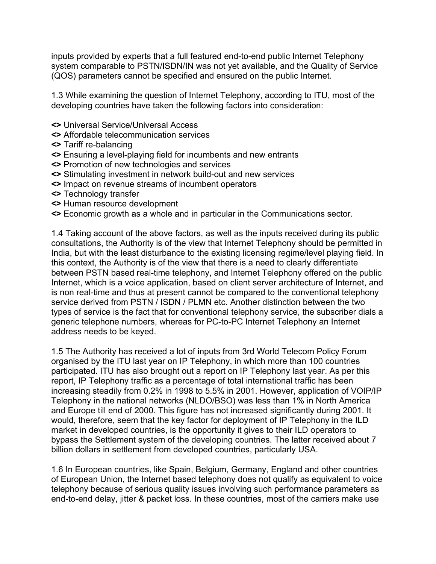inputs provided by experts that a full featured end-to-end public Internet Telephony system comparable to PSTN/ISDN/IN was not yet available, and the Quality of Service (QOS) parameters cannot be specified and ensured on the public Internet.

1.3 While examining the question of Internet Telephony, according to ITU, most of the developing countries have taken the following factors into consideration:

- **<>** Universal Service/Universal Access
- **<>** Affordable telecommunication services
- **<>** Tariff re-balancing
- **<>** Ensuring a level-playing field for incumbents and new entrants
- **<>** Promotion of new technologies and services
- **<>** Stimulating investment in network build-out and new services
- **<>** Impact on revenue streams of incumbent operators
- **<>** Technology transfer
- **<>** Human resource development
- **<>** Economic growth as a whole and in particular in the Communications sector.

1.4 Taking account of the above factors, as well as the inputs received during its public consultations, the Authority is of the view that Internet Telephony should be permitted in India, but with the least disturbance to the existing licensing regime/level playing field. In this context, the Authority is of the view that there is a need to clearly differentiate between PSTN based real-time telephony, and Internet Telephony offered on the public Internet, which is a voice application, based on client server architecture of Internet, and is non real-time and thus at present cannot be compared to the conventional telephony service derived from PSTN / ISDN / PLMN etc. Another distinction between the two types of service is the fact that for conventional telephony service, the subscriber dials a generic telephone numbers, whereas for PC-to-PC Internet Telephony an Internet address needs to be keyed.

1.5 The Authority has received a lot of inputs from 3rd World Telecom Policy Forum organised by the ITU last year on IP Telephony, in which more than 100 countries participated. ITU has also brought out a report on IP Telephony last year. As per this report, IP Telephony traffic as a percentage of total international traffic has been increasing steadily from 0.2% in 1998 to 5.5% in 2001. However, application of VOIP/IP Telephony in the national networks (NLDO/BSO) was less than 1% in North America and Europe till end of 2000. This figure has not increased significantly during 2001. It would, therefore, seem that the key factor for deployment of IP Telephony in the ILD market in developed countries, is the opportunity it gives to their ILD operators to bypass the Settlement system of the developing countries. The latter received about 7 billion dollars in settlement from developed countries, particularly USA.

1.6 In European countries, like Spain, Belgium, Germany, England and other countries of European Union, the Internet based telephony does not qualify as equivalent to voice telephony because of serious quality issues involving such performance parameters as end-to-end delay, jitter & packet loss. In these countries, most of the carriers make use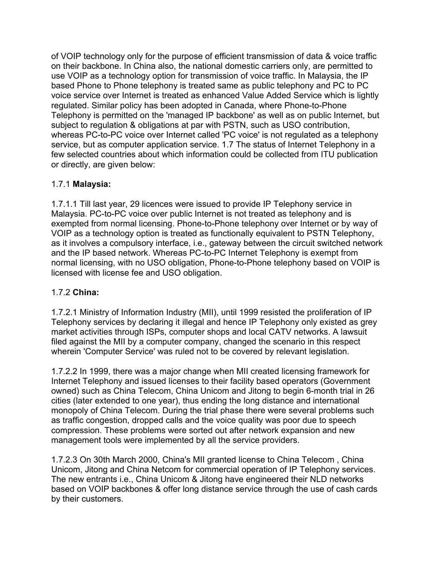of VOIP technology only for the purpose of efficient transmission of data & voice traffic on their backbone. In China also, the national domestic carriers only, are permitted to use VOIP as a technology option for transmission of voice traffic. In Malaysia, the IP based Phone to Phone telephony is treated same as public telephony and PC to PC voice service over Internet is treated as enhanced Value Added Service which is lightly regulated. Similar policy has been adopted in Canada, where Phone-to-Phone Telephony is permitted on the 'managed IP backbone' as well as on public Internet, but subject to regulation & obligations at par with PSTN, such as USO contribution, whereas PC-to-PC voice over Internet called 'PC voice' is not regulated as a telephony service, but as computer application service. 1.7 The status of Internet Telephony in a few selected countries about which information could be collected from ITU publication or directly, are given below:

# 1.7.1 **Malaysia:**

1.7.1.1 Till last year, 29 licences were issued to provide IP Telephony service in Malaysia. PC-to-PC voice over public Internet is not treated as telephony and is exempted from normal licensing. Phone-to-Phone telephony over Internet or by way of VOIP as a technology option is treated as functionally equivalent to PSTN Telephony, as it involves a compulsory interface, i.e., gateway between the circuit switched network and the IP based network. Whereas PC-to-PC Internet Telephony is exempt from normal licensing, with no USO obligation, Phone-to-Phone telephony based on VOIP is licensed with license fee and USO obligation.

#### 1.7.2 **China:**

1.7.2.1 Ministry of Information Industry (MII), until 1999 resisted the proliferation of IP Telephony services by declaring it illegal and hence IP Telephony only existed as grey market activities through ISPs, computer shops and local CATV networks. A lawsuit filed against the MII by a computer company, changed the scenario in this respect wherein 'Computer Service' was ruled not to be covered by relevant legislation.

1.7.2.2 In 1999, there was a major change when MII created licensing framework for Internet Telephony and issued licenses to their facility based operators (Government owned) such as China Telecom, China Unicom and Jitong to begin 6-month trial in 26 cities (later extended to one year), thus ending the long distance and international monopoly of China Telecom. During the trial phase there were several problems such as traffic congestion, dropped calls and the voice quality was poor due to speech compression. These problems were sorted out after network expansion and new management tools were implemented by all the service providers.

1.7.2.3 On 30th March 2000, China's MII granted license to China Telecom , China Unicom, Jitong and China Netcom for commercial operation of IP Telephony services. The new entrants i.e., China Unicom & Jitong have engineered their NLD networks based on VOIP backbones & offer long distance service through the use of cash cards by their customers.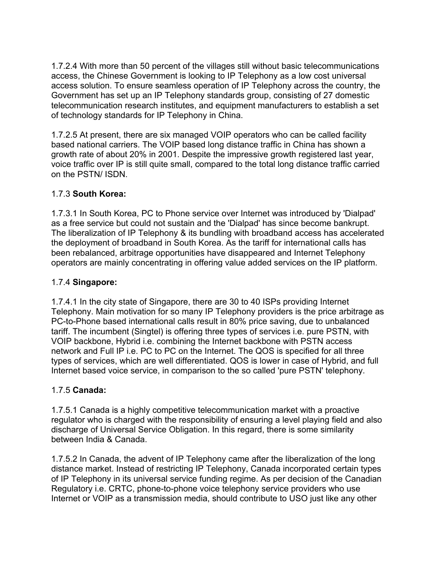1.7.2.4 With more than 50 percent of the villages still without basic telecommunications access, the Chinese Government is looking to IP Telephony as a low cost universal access solution. To ensure seamless operation of IP Telephony across the country, the Government has set up an IP Telephony standards group, consisting of 27 domestic telecommunication research institutes, and equipment manufacturers to establish a set of technology standards for IP Telephony in China.

1.7.2.5 At present, there are six managed VOIP operators who can be called facility based national carriers. The VOIP based long distance traffic in China has shown a growth rate of about 20% in 2001. Despite the impressive growth registered last year, voice traffic over IP is still quite small, compared to the total long distance traffic carried on the PSTN/ ISDN.

#### 1.7.3 **South Korea:**

1.7.3.1 In South Korea, PC to Phone service over Internet was introduced by 'Dialpad' as a free service but could not sustain and the 'Dialpad' has since become bankrupt. The liberalization of IP Telephony & its bundling with broadband access has accelerated the deployment of broadband in South Korea. As the tariff for international calls has been rebalanced, arbitrage opportunities have disappeared and Internet Telephony operators are mainly concentrating in offering value added services on the IP platform.

#### 1.7.4 **Singapore:**

1.7.4.1 In the city state of Singapore, there are 30 to 40 ISPs providing Internet Telephony. Main motivation for so many IP Telephony providers is the price arbitrage as PC-to-Phone based international calls result in 80% price saving, due to unbalanced tariff. The incumbent (Singtel) is offering three types of services i.e. pure PSTN, with VOIP backbone, Hybrid i.e. combining the Internet backbone with PSTN access network and Full IP i.e. PC to PC on the Internet. The QOS is specified for all three types of services, which are well differentiated. QOS is lower in case of Hybrid, and full Internet based voice service, in comparison to the so called 'pure PSTN' telephony.

#### 1.7.5 **Canada:**

1.7.5.1 Canada is a highly competitive telecommunication market with a proactive regulator who is charged with the responsibility of ensuring a level playing field and also discharge of Universal Service Obligation. In this regard, there is some similarity between India & Canada.

1.7.5.2 In Canada, the advent of IP Telephony came after the liberalization of the long distance market. Instead of restricting IP Telephony, Canada incorporated certain types of IP Telephony in its universal service funding regime. As per decision of the Canadian Regulatory i.e. CRTC, phone-to-phone voice telephony service providers who use Internet or VOIP as a transmission media, should contribute to USO just like any other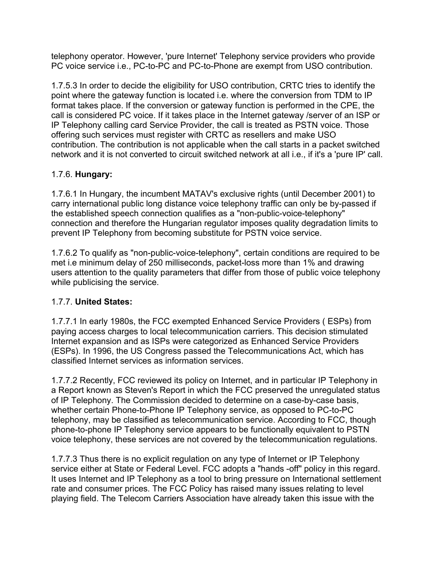telephony operator. However, 'pure Internet' Telephony service providers who provide PC voice service i.e., PC-to-PC and PC-to-Phone are exempt from USO contribution.

1.7.5.3 In order to decide the eligibility for USO contribution, CRTC tries to identify the point where the gateway function is located i.e. where the conversion from TDM to IP format takes place. If the conversion or gateway function is performed in the CPE, the call is considered PC voice. If it takes place in the Internet gateway /server of an ISP or IP Telephony calling card Service Provider, the call is treated as PSTN voice. Those offering such services must register with CRTC as resellers and make USO contribution. The contribution is not applicable when the call starts in a packet switched network and it is not converted to circuit switched network at all i.e., if it's a 'pure IP' call.

# 1.7.6. **Hungary:**

1.7.6.1 In Hungary, the incumbent MATAV's exclusive rights (until December 2001) to carry international public long distance voice telephony traffic can only be by-passed if the established speech connection qualifies as a "non-public-voice-telephony" connection and therefore the Hungarian regulator imposes quality degradation limits to prevent IP Telephony from becoming substitute for PSTN voice service.

1.7.6.2 To qualify as "non-public-voice-telephony", certain conditions are required to be met i.e minimum delay of 250 milliseconds, packet-loss more than 1% and drawing users attention to the quality parameters that differ from those of public voice telephony while publicising the service.

# 1.7.7. **United States:**

1.7.7.1 In early 1980s, the FCC exempted Enhanced Service Providers ( ESPs) from paying access charges to local telecommunication carriers. This decision stimulated Internet expansion and as ISPs were categorized as Enhanced Service Providers (ESPs). In 1996, the US Congress passed the Telecommunications Act, which has classified Internet services as information services.

1.7.7.2 Recently, FCC reviewed its policy on Internet, and in particular IP Telephony in a Report known as Steven's Report in which the FCC preserved the unregulated status of IP Telephony. The Commission decided to determine on a case-by-case basis, whether certain Phone-to-Phone IP Telephony service, as opposed to PC-to-PC telephony, may be classified as telecommunication service. According to FCC, though phone-to-phone IP Telephony service appears to be functionally equivalent to PSTN voice telephony, these services are not covered by the telecommunication regulations.

1.7.7.3 Thus there is no explicit regulation on any type of Internet or IP Telephony service either at State or Federal Level. FCC adopts a "hands -off" policy in this regard. It uses Internet and IP Telephony as a tool to bring pressure on International settlement rate and consumer prices. The FCC Policy has raised many issues relating to level playing field. The Telecom Carriers Association have already taken this issue with the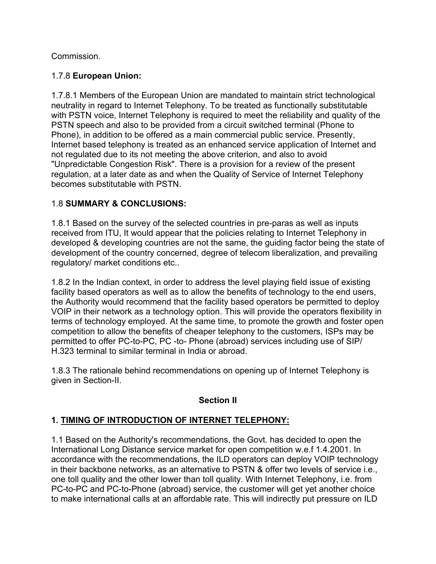#### Commission.

### 1.7.8 **European Union:**

1.7.8.1 Members of the European Union are mandated to maintain strict technological neutrality in regard to Internet Telephony. To be treated as functionally substitutable with PSTN voice, Internet Telephony is required to meet the reliability and quality of the PSTN speech and also to be provided from a circuit switched terminal (Phone to Phone), in addition to be offered as a main commercial public service. Presently, Internet based telephony is treated as an enhanced service application of Internet and not regulated due to its not meeting the above criterion, and also to avoid "Unpredictable Congestion Risk". There is a provision for a review of the present regulation, at a later date as and when the Quality of Service of Internet Telephony becomes substitutable with PSTN.

# 1.8 **SUMMARY & CONCLUSIONS:**

1.8.1 Based on the survey of the selected countries in pre-paras as well as inputs received from ITU, It would appear that the policies relating to Internet Telephony in developed & developing countries are not the same, the guiding factor being the state of development of the country concerned, degree of telecom liberalization, and prevailing regulatory/ market conditions etc..

1.8.2 In the Indian context, in order to address the level playing field issue of existing facility based operators as well as to allow the benefits of technology to the end users, the Authority would recommend that the facility based operators be permitted to deploy VOIP in their network as a technology option. This will provide the operators flexibility in terms of technology employed. At the same time, to promote the growth and foster open competition to allow the benefits of cheaper telephony to the customers, ISPs may be permitted to offer PC-to-PC, PC -to- Phone (abroad) services including use of SIP/ H.323 terminal to similar terminal in India or abroad.

1.8.3 The rationale behind recommendations on opening up of Internet Telephony is given in Section-II.

#### **Section II**

# **1. TIMING OF INTRODUCTION OF INTERNET TELEPHONY:**

1.1 Based on the Authority's recommendations, the Govt. has decided to open the International Long Distance service market for open competition w.e.f 1.4.2001. In accordance with the recommendations, the ILD operators can deploy VOIP technology in their backbone networks, as an alternative to PSTN & offer two levels of service i.e., one toll quality and the other lower than toll quality. With Internet Telephony, i.e. from PC-to-PC and PC-to-Phone (abroad) service, the customer will get yet another choice to make international calls at an affordable rate. This will indirectly put pressure on ILD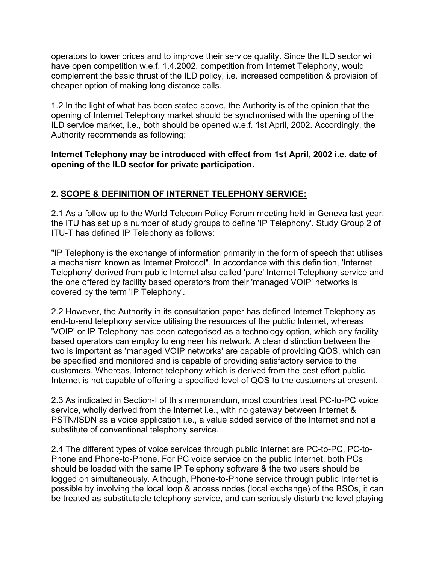operators to lower prices and to improve their service quality. Since the ILD sector will have open competition w.e.f. 1.4.2002, competition from Internet Telephony, would complement the basic thrust of the ILD policy, i.e. increased competition & provision of cheaper option of making long distance calls.

1.2 In the light of what has been stated above, the Authority is of the opinion that the opening of Internet Telephony market should be synchronised with the opening of the ILD service market, i.e., both should be opened w.e.f. 1st April, 2002. Accordingly, the Authority recommends as following:

**Internet Telephony may be introduced with effect from 1st April, 2002 i.e. date of opening of the ILD sector for private participation.**

# **2. SCOPE & DEFINITION OF INTERNET TELEPHONY SERVICE:**

2.1 As a follow up to the World Telecom Policy Forum meeting held in Geneva last year, the ITU has set up a number of study groups to define 'IP Telephony'. Study Group 2 of ITU-T has defined IP Telephony as follows:

"IP Telephony is the exchange of information primarily in the form of speech that utilises a mechanism known as Internet Protocol". In accordance with this definition, 'Internet Telephony' derived from public Internet also called 'pure' Internet Telephony service and the one offered by facility based operators from their 'managed VOIP' networks is covered by the term 'IP Telephony'.

2.2 However, the Authority in its consultation paper has defined Internet Telephony as end-to-end telephony service utilising the resources of the public Internet, whereas 'VOIP' or IP Telephony has been categorised as a technology option, which any facility based operators can employ to engineer his network. A clear distinction between the two is important as 'managed VOIP networks' are capable of providing QOS, which can be specified and monitored and is capable of providing satisfactory service to the customers. Whereas, Internet telephony which is derived from the best effort public Internet is not capable of offering a specified level of QOS to the customers at present.

2.3 As indicated in Section-I of this memorandum, most countries treat PC-to-PC voice service, wholly derived from the Internet i.e., with no gateway between Internet & PSTN/ISDN as a voice application i.e., a value added service of the Internet and not a substitute of conventional telephony service.

2.4 The different types of voice services through public Internet are PC-to-PC, PC-to-Phone and Phone-to-Phone. For PC voice service on the public Internet, both PCs should be loaded with the same IP Telephony software & the two users should be logged on simultaneously. Although, Phone-to-Phone service through public Internet is possible by involving the local loop & access nodes (local exchange) of the BSOs, it can be treated as substitutable telephony service, and can seriously disturb the level playing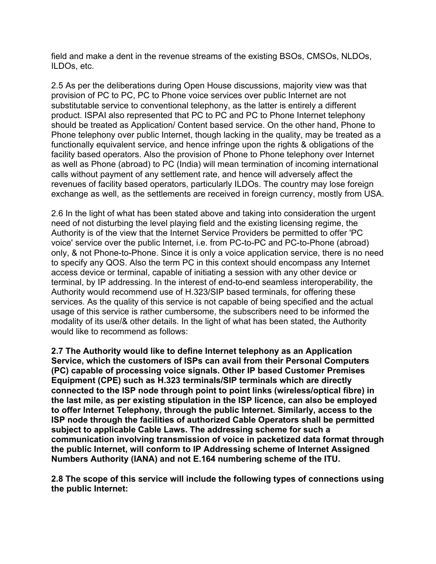field and make a dent in the revenue streams of the existing BSOs, CMSOs, NLDOs, ILDOs, etc.

2.5 As per the deliberations during Open House discussions, majority view was that provision of PC to PC, PC to Phone voice services over public Internet are not substitutable service to conventional telephony, as the latter is entirely a different product. ISPAI also represented that PC to PC and PC to Phone Internet telephony should be treated as Application/ Content based service. On the other hand, Phone to Phone telephony over public Internet, though lacking in the quality, may be treated as a functionally equivalent service, and hence infringe upon the rights & obligations of the facility based operators. Also the provision of Phone to Phone telephony over Internet as well as Phone (abroad) to PC (India) will mean termination of incoming international calls without payment of any settlement rate, and hence will adversely affect the revenues of facility based operators, particularly ILDOs. The country may lose foreign exchange as well, as the settlements are received in foreign currency, mostly from USA.

2.6 In the light of what has been stated above and taking into consideration the urgent need of not disturbing the level playing field and the existing licensing regime, the Authority is of the view that the Internet Service Providers be permitted to offer 'PC voice' service over the public Internet, i.e. from PC-to-PC and PC-to-Phone (abroad) only, & not Phone-to-Phone. Since it is only a voice application service, there is no need to specify any QOS. Also the term PC in this context should encompass any Internet access device or terminal, capable of initiating a session with any other device or terminal, by IP addressing. In the interest of end-to-end seamless interoperability, the Authority would recommend use of H.323/SIP based terminals, for offering these services. As the quality of this service is not capable of being specified and the actual usage of this service is rather cumbersome, the subscribers need to be informed the modality of its use/& other details. In the light of what has been stated, the Authority would like to recommend as follows:

**2.7 The Authority would like to define Internet telephony as an Application Service, which the customers of ISPs can avail from their Personal Computers (PC) capable of processing voice signals. Other IP based Customer Premises Equipment (CPE) such as H.323 terminals/SIP terminals which are directly connected to the ISP node through point to point links (wireless/optical fibre) in the last mile, as per existing stipulation in the ISP licence, can also be employed to offer Internet Telephony, through the public Internet. Similarly, access to the ISP node through the facilities of authorized Cable Operators shall be permitted subject to applicable Cable Laws. The addressing scheme for such a communication involving transmission of voice in packetized data format through the public Internet, will conform to IP Addressing scheme of Internet Assigned Numbers Authority (IANA) and not E.164 numbering scheme of the ITU.** 

**2.8 The scope of this service will include the following types of connections using the public Internet:**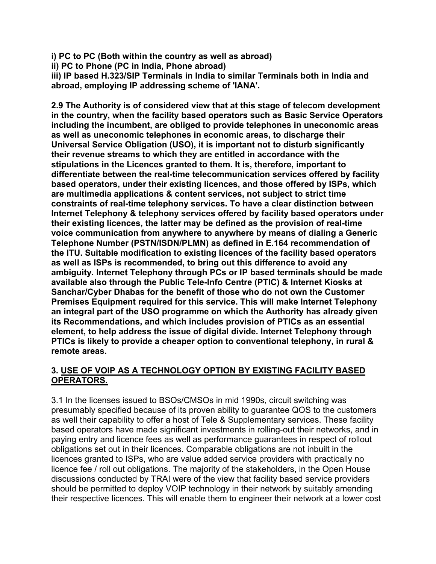**i) PC to PC (Both within the country as well as abroad)** 

**ii) PC to Phone (PC in India, Phone abroad)** 

**iii) IP based H.323/SIP Terminals in India to similar Terminals both in India and abroad, employing IP addressing scheme of 'IANA'.** 

**2.9 The Authority is of considered view that at this stage of telecom development in the country, when the facility based operators such as Basic Service Operators including the incumbent, are obliged to provide telephones in uneconomic areas as well as uneconomic telephones in economic areas, to discharge their Universal Service Obligation (USO), it is important not to disturb significantly their revenue streams to which they are entitled in accordance with the stipulations in the Licences granted to them. It is, therefore, important to differentiate between the real-time telecommunication services offered by facility based operators, under their existing licences, and those offered by ISPs, which are multimedia applications & content services, not subject to strict time constraints of real-time telephony services. To have a clear distinction between Internet Telephony & telephony services offered by facility based operators under their existing licences, the latter may be defined as the provision of real-time voice communication from anywhere to anywhere by means of dialing a Generic Telephone Number (PSTN/ISDN/PLMN) as defined in E.164 recommendation of the ITU. Suitable modification to existing licences of the facility based operators as well as ISPs is recommended, to bring out this difference to avoid any ambiguity. Internet Telephony through PCs or IP based terminals should be made available also through the Public Tele-Info Centre (PTIC) & Internet Kiosks at Sanchar/Cyber Dhabas for the benefit of those who do not own the Customer Premises Equipment required for this service. This will make Internet Telephony an integral part of the USO programme on which the Authority has already given its Recommendations, and which includes provision of PTICs as an essential element, to help address the issue of digital divide. Internet Telephony through PTICs is likely to provide a cheaper option to conventional telephony, in rural & remote areas.** 

#### **3. USE OF VOIP AS A TECHNOLOGY OPTION BY EXISTING FACILITY BASED OPERATORS.**

3.1 In the licenses issued to BSOs/CMSOs in mid 1990s, circuit switching was presumably specified because of its proven ability to guarantee QOS to the customers as well their capability to offer a host of Tele & Supplementary services. These facility based operators have made significant investments in rolling-out their networks, and in paying entry and licence fees as well as performance guarantees in respect of rollout obligations set out in their licences. Comparable obligations are not inbuilt in the licences granted to ISPs, who are value added service providers with practically no licence fee / roll out obligations. The majority of the stakeholders, in the Open House discussions conducted by TRAI were of the view that facility based service providers should be permitted to deploy VOIP technology in their network by suitably amending their respective licences. This will enable them to engineer their network at a lower cost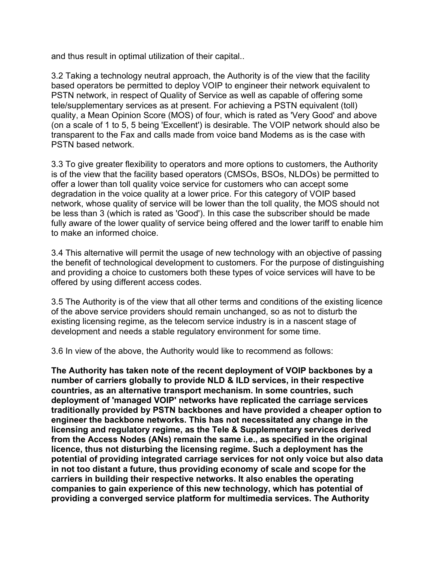and thus result in optimal utilization of their capital..

3.2 Taking a technology neutral approach, the Authority is of the view that the facility based operators be permitted to deploy VOIP to engineer their network equivalent to PSTN network, in respect of Quality of Service as well as capable of offering some tele/supplementary services as at present. For achieving a PSTN equivalent (toll) quality, a Mean Opinion Score (MOS) of four, which is rated as 'Very Good' and above (on a scale of 1 to 5, 5 being 'Excellent') is desirable. The VOIP network should also be transparent to the Fax and calls made from voice band Modems as is the case with PSTN based network.

3.3 To give greater flexibility to operators and more options to customers, the Authority is of the view that the facility based operators (CMSOs, BSOs, NLDOs) be permitted to offer a lower than toll quality voice service for customers who can accept some degradation in the voice quality at a lower price. For this category of VOIP based network, whose quality of service will be lower than the toll quality, the MOS should not be less than 3 (which is rated as 'Good'). In this case the subscriber should be made fully aware of the lower quality of service being offered and the lower tariff to enable him to make an informed choice.

3.4 This alternative will permit the usage of new technology with an objective of passing the benefit of technological development to customers. For the purpose of distinguishing and providing a choice to customers both these types of voice services will have to be offered by using different access codes.

3.5 The Authority is of the view that all other terms and conditions of the existing licence of the above service providers should remain unchanged, so as not to disturb the existing licensing regime, as the telecom service industry is in a nascent stage of development and needs a stable regulatory environment for some time.

3.6 In view of the above, the Authority would like to recommend as follows:

**The Authority has taken note of the recent deployment of VOIP backbones by a number of carriers globally to provide NLD & ILD services, in their respective countries, as an alternative transport mechanism. In some countries, such deployment of 'managed VOIP' networks have replicated the carriage services traditionally provided by PSTN backbones and have provided a cheaper option to engineer the backbone networks. This has not necessitated any change in the licensing and regulatory regime, as the Tele & Supplementary services derived from the Access Nodes (ANs) remain the same i.e., as specified in the original licence, thus not disturbing the licensing regime. Such a deployment has the potential of providing integrated carriage services for not only voice but also data in not too distant a future, thus providing economy of scale and scope for the carriers in building their respective networks. It also enables the operating companies to gain experience of this new technology, which has potential of providing a converged service platform for multimedia services. The Authority**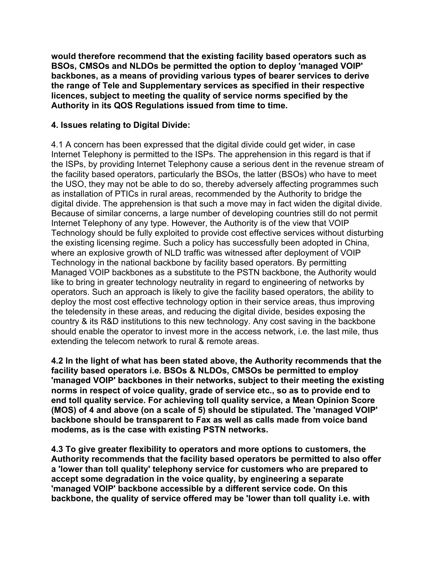**would therefore recommend that the existing facility based operators such as BSOs, CMSOs and NLDOs be permitted the option to deploy 'managed VOIP' backbones, as a means of providing various types of bearer services to derive the range of Tele and Supplementary services as specified in their respective licences, subject to meeting the quality of service norms specified by the Authority in its QOS Regulations issued from time to time.**

#### **4. Issues relating to Digital Divide:**

4.1 A concern has been expressed that the digital divide could get wider, in case Internet Telephony is permitted to the ISPs. The apprehension in this regard is that if the ISPs, by providing Internet Telephony cause a serious dent in the revenue stream of the facility based operators, particularly the BSOs, the latter (BSOs) who have to meet the USO, they may not be able to do so, thereby adversely affecting programmes such as installation of PTICs in rural areas, recommended by the Authority to bridge the digital divide. The apprehension is that such a move may in fact widen the digital divide. Because of similar concerns, a large number of developing countries still do not permit Internet Telephony of any type. However, the Authority is of the view that VOIP Technology should be fully exploited to provide cost effective services without disturbing the existing licensing regime. Such a policy has successfully been adopted in China, where an explosive growth of NLD traffic was witnessed after deployment of VOIP Technology in the national backbone by facility based operators. By permitting Managed VOIP backbones as a substitute to the PSTN backbone, the Authority would like to bring in greater technology neutrality in regard to engineering of networks by operators. Such an approach is likely to give the facility based operators, the ability to deploy the most cost effective technology option in their service areas, thus improving the teledensity in these areas, and reducing the digital divide, besides exposing the country & its R&D institutions to this new technology. Any cost saving in the backbone should enable the operator to invest more in the access network, i.e. the last mile, thus extending the telecom network to rural & remote areas.

**4.2 In the light of what has been stated above, the Authority recommends that the facility based operators i.e. BSOs & NLDOs, CMSOs be permitted to employ 'managed VOIP' backbones in their networks, subject to their meeting the existing norms in respect of voice quality, grade of service etc., so as to provide end to end toll quality service. For achieving toll quality service, a Mean Opinion Score (MOS) of 4 and above (on a scale of 5) should be stipulated. The 'managed VOIP' backbone should be transparent to Fax as well as calls made from voice band modems, as is the case with existing PSTN networks.** 

**4.3 To give greater flexibility to operators and more options to customers, the Authority recommends that the facility based operators be permitted to also offer a 'lower than toll quality' telephony service for customers who are prepared to accept some degradation in the voice quality, by engineering a separate 'managed VOIP' backbone accessible by a different service code. On this backbone, the quality of service offered may be 'lower than toll quality i.e. with**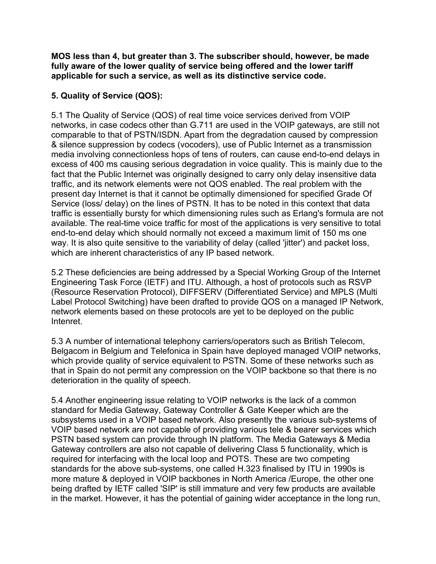**MOS less than 4, but greater than 3. The subscriber should, however, be made fully aware of the lower quality of service being offered and the lower tariff applicable for such a service, as well as its distinctive service code.** 

### **5. Quality of Service (QOS):**

5.1 The Quality of Service (QOS) of real time voice services derived from VOIP networks, in case codecs other than G.711 are used in the VOIP gateways, are still not comparable to that of PSTN/ISDN. Apart from the degradation caused by compression & silence suppression by codecs (vocoders), use of Public Internet as a transmission media involving connectionless hops of tens of routers, can cause end-to-end delays in excess of 400 ms causing serious degradation in voice quality. This is mainly due to the fact that the Public Internet was originally designed to carry only delay insensitive data traffic, and its network elements were not QOS enabled. The real problem with the present day Internet is that it cannot be optimally dimensioned for specified Grade Of Service (loss/ delay) on the lines of PSTN. It has to be noted in this context that data traffic is essentially bursty for which dimensioning rules such as Erlang's formula are not available. The real-time voice traffic for most of the applications is very sensitive to total end-to-end delay which should normally not exceed a maximum limit of 150 ms one way. It is also quite sensitive to the variability of delay (called 'jitter') and packet loss, which are inherent characteristics of any IP based network.

5.2 These deficiencies are being addressed by a Special Working Group of the Internet Engineering Task Force (IETF) and ITU. Although, a host of protocols such as RSVP (Resource Reservation Protocol), DIFFSERV (Differentiated Service) and MPLS (Multi Label Protocol Switching) have been drafted to provide QOS on a managed IP Network, network elements based on these protocols are yet to be deployed on the public Intenret.

5.3 A number of international telephony carriers/operators such as British Telecom, Belgacom in Belgium and Telefonica in Spain have deployed managed VOIP networks, which provide quality of service equivalent to PSTN. Some of these networks such as that in Spain do not permit any compression on the VOIP backbone so that there is no deterioration in the quality of speech.

5.4 Another engineering issue relating to VOIP networks is the lack of a common standard for Media Gateway, Gateway Controller & Gate Keeper which are the subsystems used in a VOIP based network. Also presently the various sub-systems of VOIP based network are not capable of providing various tele & bearer services which PSTN based system can provide through IN platform. The Media Gateways & Media Gateway controllers are also not capable of delivering Class 5 functionality, which is required for interfacing with the local loop and POTS. These are two competing standards for the above sub-systems, one called H.323 finalised by ITU in 1990s is more mature & deployed in VOIP backbones in North America /Europe, the other one being drafted by IETF called 'SIP' is still immature and very few products are available in the market. However, it has the potential of gaining wider acceptance in the long run,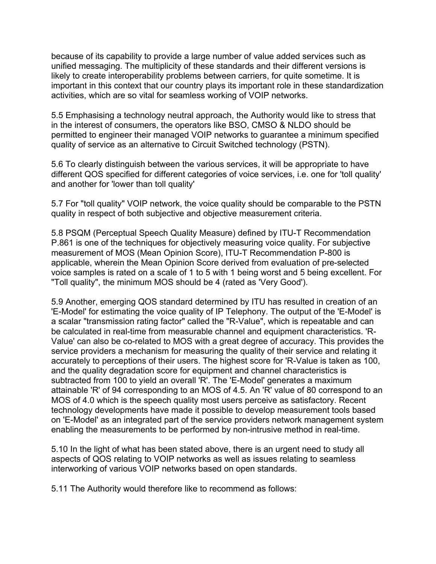because of its capability to provide a large number of value added services such as unified messaging. The multiplicity of these standards and their different versions is likely to create interoperability problems between carriers, for quite sometime. It is important in this context that our country plays its important role in these standardization activities, which are so vital for seamless working of VOIP networks.

5.5 Emphasising a technology neutral approach, the Authority would like to stress that in the interest of consumers, the operators like BSO, CMSO & NLDO should be permitted to engineer their managed VOIP networks to guarantee a minimum specified quality of service as an alternative to Circuit Switched technology (PSTN).

5.6 To clearly distinguish between the various services, it will be appropriate to have different QOS specified for different categories of voice services, i.e. one for 'toll quality' and another for 'lower than toll quality'

5.7 For "toll quality" VOIP network, the voice quality should be comparable to the PSTN quality in respect of both subjective and objective measurement criteria.

5.8 PSQM (Perceptual Speech Quality Measure) defined by ITU-T Recommendation P.861 is one of the techniques for objectively measuring voice quality. For subjective measurement of MOS (Mean Opinion Score), ITU-T Recommendation P-800 is applicable, wherein the Mean Opinion Score derived from evaluation of pre-selected voice samples is rated on a scale of 1 to 5 with 1 being worst and 5 being excellent. For "Toll quality", the minimum MOS should be 4 (rated as 'Very Good').

5.9 Another, emerging QOS standard determined by ITU has resulted in creation of an 'E-Model' for estimating the voice quality of IP Telephony. The output of the 'E-Model' is a scalar "transmission rating factor" called the "R-Value", which is repeatable and can be calculated in real-time from measurable channel and equipment characteristics. 'R-Value' can also be co-related to MOS with a great degree of accuracy. This provides the service providers a mechanism for measuring the quality of their service and relating it accurately to perceptions of their users. The highest score for 'R-Value is taken as 100, and the quality degradation score for equipment and channel characteristics is subtracted from 100 to yield an overall 'R'. The 'E-Model' generates a maximum attainable 'R' of 94 corresponding to an MOS of 4.5. An 'R' value of 80 correspond to an MOS of 4.0 which is the speech quality most users perceive as satisfactory. Recent technology developments have made it possible to develop measurement tools based on 'E-Model' as an integrated part of the service providers network management system enabling the measurements to be performed by non-intrusive method in real-time.

5.10 In the light of what has been stated above, there is an urgent need to study all aspects of QOS relating to VOIP networks as well as issues relating to seamless interworking of various VOIP networks based on open standards.

5.11 The Authority would therefore like to recommend as follows: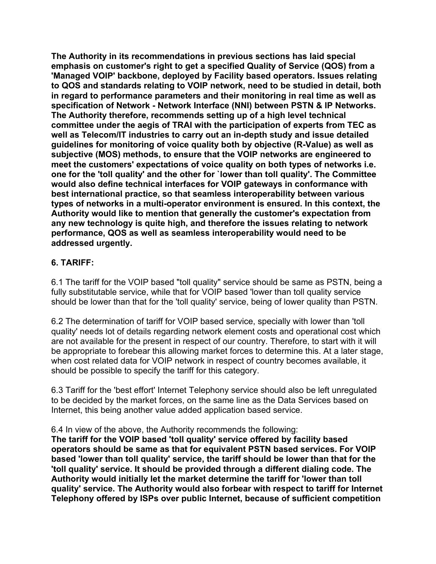**The Authority in its recommendations in previous sections has laid special emphasis on customer's right to get a specified Quality of Service (QOS) from a 'Managed VOIP' backbone, deployed by Facility based operators. Issues relating to QOS and standards relating to VOIP network, need to be studied in detail, both in regard to performance parameters and their monitoring in real time as well as specification of Network - Network Interface (NNI) between PSTN & IP Networks. The Authority therefore, recommends setting up of a high level technical committee under the aegis of TRAI with the participation of experts from TEC as well as Telecom/IT industries to carry out an in-depth study and issue detailed guidelines for monitoring of voice quality both by objective (R-Value) as well as subjective (MOS) methods, to ensure that the VOIP networks are engineered to meet the customers' expectations of voice quality on both types of networks i.e. one for the 'toll quality' and the other for `lower than toll quality'. The Committee would also define technical interfaces for VOIP gateways in conformance with best international practice, so that seamless interoperability between various types of networks in a multi-operator environment is ensured. In this context, the Authority would like to mention that generally the customer's expectation from any new technology is quite high, and therefore the issues relating to network performance, QOS as well as seamless interoperability would need to be addressed urgently.** 

#### **6. TARIFF:**

6.1 The tariff for the VOIP based "toll quality" service should be same as PSTN, being a fully substitutable service, while that for VOIP based 'lower than toll quality service should be lower than that for the 'toll quality' service, being of lower quality than PSTN.

6.2 The determination of tariff for VOIP based service, specially with lower than 'toll quality' needs lot of details regarding network element costs and operational cost which are not available for the present in respect of our country. Therefore, to start with it will be appropriate to forebear this allowing market forces to determine this. At a later stage, when cost related data for VOIP network in respect of country becomes available, it should be possible to specify the tariff for this category.

6.3 Tariff for the 'best effort' Internet Telephony service should also be left unregulated to be decided by the market forces, on the same line as the Data Services based on Internet, this being another value added application based service.

6.4 In view of the above, the Authority recommends the following:

**The tariff for the VOIP based 'toll quality' service offered by facility based operators should be same as that for equivalent PSTN based services. For VOIP based 'lower than toll quality' service, the tariff should be lower than that for the 'toll quality' service. It should be provided through a different dialing code. The Authority would initially let the market determine the tariff for 'lower than toll quality' service. The Authority would also forbear with respect to tariff for Internet Telephony offered by ISPs over public Internet, because of sufficient competition**